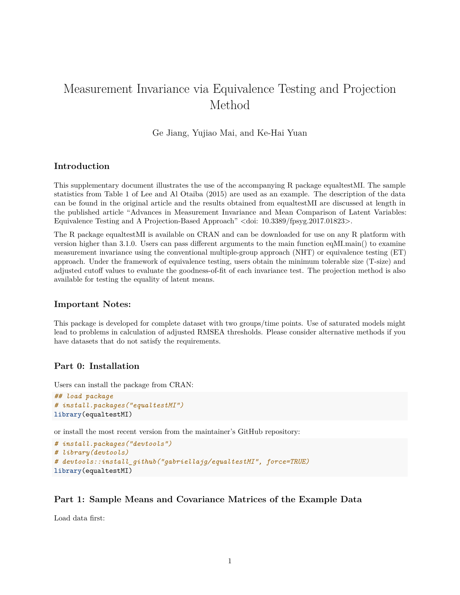# Measurement Invariance via Equivalence Testing and Projection Method

Ge Jiang, Yujiao Mai, and Ke-Hai Yuan

### **Introduction**

This supplementary document illustrates the use of the accompanying R package equaltestMI. The sample statistics from Table 1 of Lee and Al Otaiba (2015) are used as an example. The description of the data can be found in the original article and the results obtained from equaltestMI are discussed at length in the published article "Advances in Measurement Invariance and Mean Comparison of Latent Variables: Equivalence Testing and A Projection-Based Approach" <doi: 10.3389/fpsyg.2017.01823>.

The R package equaltestMI is available on CRAN and can be downloaded for use on any R platform with version higher than 3.1.0. Users can pass different arguments to the main function eqMI.main() to examine measurement invariance using the conventional multiple-group approach (NHT) or equivalence testing (ET) approach. Under the framework of equivalence testing, users obtain the minimum tolerable size (T-size) and adjusted cutoff values to evaluate the goodness-of-fit of each invariance test. The projection method is also available for testing the equality of latent means.

#### **Important Notes:**

This package is developed for complete dataset with two groups/time points. Use of saturated models might lead to problems in calculation of adjusted RMSEA thresholds. Please consider alternative methods if you have datasets that do not satisfy the requirements.

#### **Part 0: Installation**

Users can install the package from CRAN:

```
## load package
# install.packages("equaltestMI")
library(equaltestMI)
```
or install the most recent version from the maintainer's GitHub repository:

```
# install.packages("devtools")
# library(devtools)
# devtools::install_github("gabriellajg/equaltestMI", force=TRUE)
library(equaltestMI)
```
#### **Part 1: Sample Means and Covariance Matrices of the Example Data**

Load data first: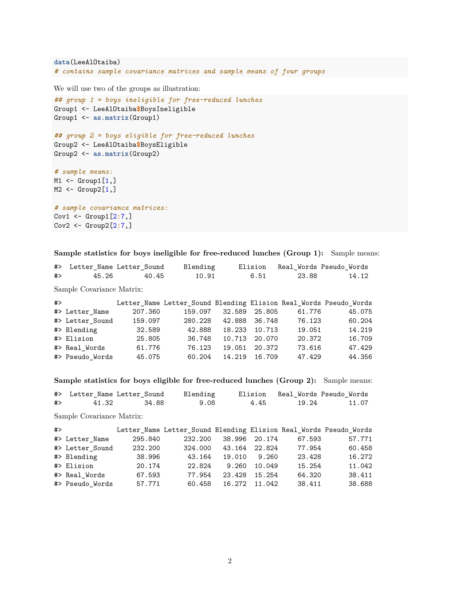```
data(LeeAlOtaiba)
# contains sample covariance matrices and sample means of four groups
```
We will use two of the groups as illustration:

```
## group 1 = boys ineligible for free-reduced lunches
Group1 <- LeeAlOtaiba$BoysIneligible
Group1 <- as.matrix(Group1)
## group 2 = boys eligible for free-reduced lunches
Group2 <- LeeAlOtaiba$BoysEligible
Group2 <- as.matrix(Group2)
# sample means:
M1 \leftarrow Group1[1,]M2 \leftarrow Group2[1,]# sample covariance matrices:
```
Cov1 <- Group1[2**:**7,] Cov2 <- Group2[2**:**7,]

**Sample statistics for boys ineligible for free-reduced lunches (Group 1):** Sample means:

|                           |       | #> Letter Name Letter Sound | Blending                                                          |  | Elision | Real Words Pseudo Words |  |       |  |
|---------------------------|-------|-----------------------------|-------------------------------------------------------------------|--|---------|-------------------------|--|-------|--|
| #>                        | 45.26 | 40.45                       | 10.91                                                             |  | 6.51    | 23.88                   |  | 14.12 |  |
| Sample Covariance Matrix: |       |                             |                                                                   |  |         |                         |  |       |  |
| #>                        |       |                             | Letter Name Letter Sound Blending Elision Real Words Pseudo Words |  |         |                         |  |       |  |

| #> Letter_Name  | 207.360 | 159.097 | 32.589 25.805 |               | 61.776 | 45.075 |
|-----------------|---------|---------|---------------|---------------|--------|--------|
| #> Letter_Sound | 159.097 | 280.228 | 42.888 36.748 |               | 76.123 | 60.204 |
| #> Blending     | 32.589  | 42.888  |               | 18.233 10.713 | 19.051 | 14.219 |
| #> Elision      | 25.805  | 36.748  |               | 10.713 20.070 | 20.372 | 16.709 |
| #> Real Words   | 61.776  | 76.123  |               | 19.051 20.372 | 73.616 | 47.429 |
| #> Pseudo_Words | 45.075  | 60.204  |               | 14.219 16.709 | 47.429 | 44.356 |

**Sample statistics for boys eligible for free-reduced lunches (Group 2):** Sample means:

|    |       | #> Letter Name Letter Sound Blending |      |      |       | Elision – Real Words Pseudo Words |
|----|-------|--------------------------------------|------|------|-------|-----------------------------------|
| #> | 41.32 | 34.88                                | 9.08 | 4.45 | 19.24 | 11.07                             |

Sample Covariance Matrix:

| # |                 |         | Letter_Name Letter_Sound Blending Elision Real_Words Pseudo_Words |               |               |        |        |
|---|-----------------|---------|-------------------------------------------------------------------|---------------|---------------|--------|--------|
|   | #> Letter_Name  | 295.840 | 232.200                                                           | 38.996 20.174 |               | 67.593 | 57.771 |
|   | #> Letter Sound | 232.200 | 324.000                                                           | 43.164 22.824 |               | 77.954 | 60.458 |
|   | #> Blending     | 38.996  | 43.164                                                            |               | 19.010 9.260  | 23.428 | 16.272 |
|   | #> Elision      | 20.174  | 22.824                                                            |               | 9.260 10.049  | 15.254 | 11.042 |
|   | #> Real Words   | 67.593  | 77.954                                                            |               | 23.428 15.254 | 64.320 | 38.411 |
|   | #> Pseudo Words | 57.771  | 60.458                                                            |               | 16.272 11.042 | 38.411 | 38.688 |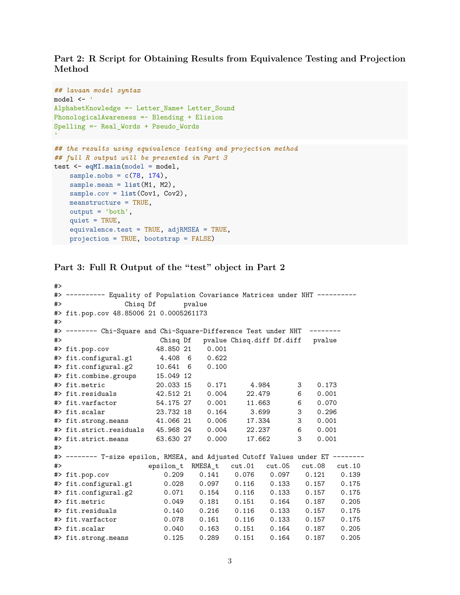**Part 2: R Script for Obtaining Results from Equivalence Testing and Projection Method**

```
## lavaan model syntax
model <- '
AlphabetKnowledge =~ Letter_Name+ Letter_Sound
PhonologicalAwareness =~ Blending + Elision
Spelling =~ Real_Words + Pseudo_Words
## the results using equivalence testing and projection method
## full R output will be presented in Part 3
test <- eqMI.main(model = model,
   sample.nobs = c(78, 174),
   sample.mean = list(M1, M2),
   sample.cov = list(Cov1, Cov2),
   meanstructure = TRUE,
   output = 'both',quiet = TRUE,
    equivalence.test = TRUE, adjRMSEA = TRUE,
    projection = TRUE, bootstrap = FALSE)
```
**Part 3: Full R Output of the "test" object in Part 2**

 $\overline{a}$ 

| #~ |                                                                                |                   |        |                           |        |            |        |  |  |
|----|--------------------------------------------------------------------------------|-------------------|--------|---------------------------|--------|------------|--------|--|--|
|    | #> ---------- Equality of Population Covariance Matrices under NHT ----------  |                   |        |                           |        |            |        |  |  |
| #  | Chisg Df                                                                       |                   | pvalue |                           |        |            |        |  |  |
|    | #> fit.pop.cov 48.85006 21 0.0005261173                                        |                   |        |                           |        |            |        |  |  |
| #  |                                                                                |                   |        |                           |        |            |        |  |  |
|    | #> ------- Chi-Square and Chi-Square-Difference Test under NHT                 |                   |        |                           |        |            |        |  |  |
| #  |                                                                                | Chisq Df          |        | pvalue Chisq.diff Df.diff |        | pvalue     |        |  |  |
|    | #> fit.pop.cov                                                                 | 48.850 21         | 0.001  |                           |        |            |        |  |  |
|    | #> fit.configural.g1                                                           | 4.408 6           | 0.622  |                           |        |            |        |  |  |
|    | #> fit.configural.g2                                                           | 10.641 6          | 0.100  |                           |        |            |        |  |  |
|    | #> fit.combine.groups                                                          | 15.049 12         |        |                           |        |            |        |  |  |
|    | #> fit.metric                                                                  | 20.033 15         | 0.171  | 4.984                     |        | 3<br>0.173 |        |  |  |
|    | #> fit.residuals                                                               | 42.512 21         | 0.004  | 22.479                    |        | 0.001<br>6 |        |  |  |
|    | #> fit.varfactor                                                               | 54.175 27         | 0.001  |                           | 11.663 | 6<br>0.070 |        |  |  |
|    | #> fit.scalar                                                                  | 23.732 18         | 0.164  |                           | 3.699  | 3<br>0.296 |        |  |  |
|    | #> fit.strong.means                                                            | 41.066 21         | 0.006  |                           | 17.334 | 3<br>0.001 |        |  |  |
|    | #> fit.strict.residuals                                                        | 45.968 24         | 0.004  | 22.237                    |        | 6<br>0.001 |        |  |  |
|    | #> fit.strict.means                                                            | 63.630 27         | 0.000  | 17.662                    |        | 3<br>0.001 |        |  |  |
| #> |                                                                                |                   |        |                           |        |            |        |  |  |
|    | #> -------- T-size epsilon, RMSEA, and Adjusted Cutoff Values under ET ------- |                   |        |                           |        |            |        |  |  |
| #  |                                                                                | epsilon_t RMESA_t |        | cut.01                    | cut.05 | cut.08     | cut.10 |  |  |
|    | #> fit.pop.cov                                                                 | 0.209             | 0.141  | 0.076                     | 0.097  | 0.121      | 0.139  |  |  |
|    | #> fit.configural.g1                                                           | 0.028             | 0.097  | 0.116                     | 0.133  | 0.157      | 0.175  |  |  |
|    | #> fit.configural.g2                                                           | 0.071             | 0.154  | 0.116                     | 0.133  | 0.157      | 0.175  |  |  |
|    | #> fit.metric                                                                  | 0.049             | 0.181  | 0.151                     | 0.164  | 0.187      | 0.205  |  |  |
|    | #> fit.residuals                                                               | 0.140             | 0.216  | 0.116                     | 0.133  | 0.157      | 0.175  |  |  |
|    | #> fit.varfactor                                                               | 0.078             | 0.161  | 0.116                     | 0.133  | 0.157      | 0.175  |  |  |
|    | #> fit.scalar                                                                  | 0.040             | 0.163  | 0.151                     | 0.164  | 0.187      | 0.205  |  |  |
|    | #> fit.strong.means                                                            | 0.125             | 0.289  | 0.151                     | 0.164  | 0.187      | 0.205  |  |  |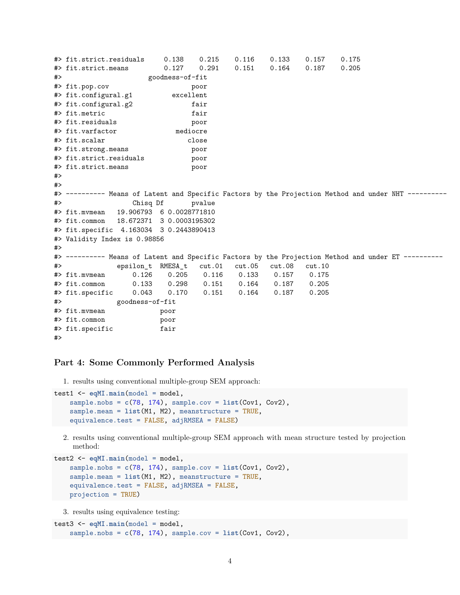```
#> fit.strict.residuals 0.138 0.215 0.116 0.133 0.157 0.175
#> fit.strict.means 0.127 0.291 0.151 0.164 0.187 0.205
#> goodness-of-fit
#> fit.pop.cov poor
#> fit.configural.g1 excellent
#> fit.configural.g2 fair
#> fit.metric fair
#> fit.residuals poor
#> fit.varfactor mediocre
#> fit.scalar close
#> fit.strong.means poor
#> fit.strict.residuals poor
#> fit.strict.means poor
#>
##> ---------- Means of Latent and Specific Factors by the Projection Method and under NHT ----------
#> Chisq Df pvalue
#> fit.mvmean 19.906793 6 0.0028771810
#> fit.common 18.672371 3 0.0003195302
#> fit.specific 4.163034 3 0.2443890413
#> Validity Index is 0.98856
#>
#> ---------- Means of Latent and Specific Factors by the Projection Method and under ET ----------
#> epsilon_t RMESA_t cut.01 cut.05 cut.08 cut.10
#> fit.mvmean 0.126 0.205 0.116 0.133 0.157 0.175
#> fit.common 0.133 0.298 0.151 0.164 0.187 0.205
#> fit.specific 0.043 0.170 0.151 0.164 0.187 0.205
#> goodness-of-fit
#> fit.mvmean poor
#> fit.common poor
#> fit.specific fair
#>
```
#### **Part 4: Some Commonly Performed Analysis**

1. results using conventional multiple-group SEM approach:

```
test1 <- eqMI.main(model = model,
   sample.nobs = c(78, 174), sample.cov = list(Cov1, Cov2),
   sample.mean = list(M1, M2), meanstructure = TRUE,
   equivalence.test = FALSE, adjRMSEA = FALSE)
```
2. results using conventional multiple-group SEM approach with mean structure tested by projection method:

```
test2 <- eqMI.main(model = model,
    sample.nobs = c(78, 174), sample.cov = list(Cov1, Cov2),
    sample.mean = list(M1, M2), meanstructure = TRUE,
    equivalence.test = FALSE, adjRMSEA = FALSE,
   projection = TRUE)
```
3. results using equivalence testing:

```
test3 <- eqMI.main(model = model,
   sample.nobs = c(78, 174), sample.cov = list(Cov1, Cov2),
```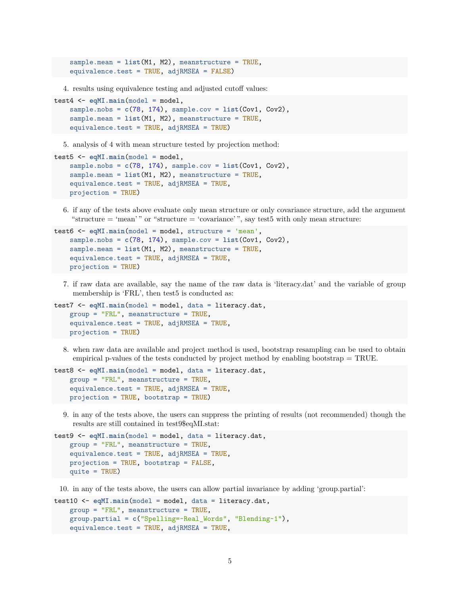```
sample.mean = list(M1, M2), meanstructure = TRUE,
equivalence.test = TRUE, adjRMSEA = FALSE)
```
4. results using equivalence testing and adjusted cutoff values:

```
test4 <- eqMI.main(model = model,
    sample.nobs = c(78, 174), sample.cov = list(Cov1, Cov2),
    sample.mean = list(M1, M2), meanstructure = TRUE,
    equivalence.test = TRUE, adjRMSEA = TRUE)
```
5. analysis of 4 with mean structure tested by projection method:

```
test5 <- eqMI.main(model = model,
    sample.nobs = c(78, 174), sample.cov = list(Cov1, Cov2),
    sample.mean = list(M1, M2), meanstructure = TRUE,
    equivalence.test = TRUE, adjRMSEA = TRUE,
   projection = TRUE)
```
6. if any of the tests above evaluate only mean structure or only covariance structure, add the argument "structure  $=$  'mean'" or "structure  $=$  'covariance'", say test5 with only mean structure:

```
test6 <- eqMI.main(model = model, structure = 'mean',
    sample.nobs = c(78, 174), sample.cov = list(Cov1, Cov2),
    sample.mean = list(M1, M2), meanstructure = TRUE,
    equivalence.test = TRUE, adjRMSEA = TRUE,
   projection = TRUE)
```
7. if raw data are available, say the name of the raw data is 'literacy.dat' and the variable of group membership is 'FRL', then test5 is conducted as:

```
test7 <- eqMI.main(model = model, data = literacy.dat,
    group = "FRL", meanstructure = TRUE,
    equivalence.test = TRUE, adjRMSEA = TRUE,
   projection = TRUE)
```
8. when raw data are available and project method is used, bootstrap resampling can be used to obtain empirical p-values of the tests conducted by project method by enabling bootstrap = TRUE.

```
test8 <- eqMI.main(model = model, data = literacy.dat,
    group = "FRL", meanstructure = TRUE,
    equivalence.test = TRUE, adjRMSEA = TRUE,
   projection = TRUE, bootstrap = TRUE)
```
9. in any of the tests above, the users can suppress the printing of results (not recommended) though the results are still contained in test9\$eqMI.stat:

```
test9 <- eqMI.main(model = model, data = literacy.dat,
    group = "FRL", meanstructure = TRUE,
    equivalence.test = TRUE, adjRMSEA = TRUE,
   projection = TRUE, bootstrap = FALSE,
   quite = TRUE)
```
10. in any of the tests above, the users can allow partial invariance by adding 'group.partial':

```
test10 <- eqMI.main(model = model, data = literacy.dat,
   group = "FRL", meanstructure = TRUE,
    group.partial = c("Spelling=~Real_Words", "Blending~1"),
   equivalence.test = TRUE, adjRMSEA = TRUE,
```